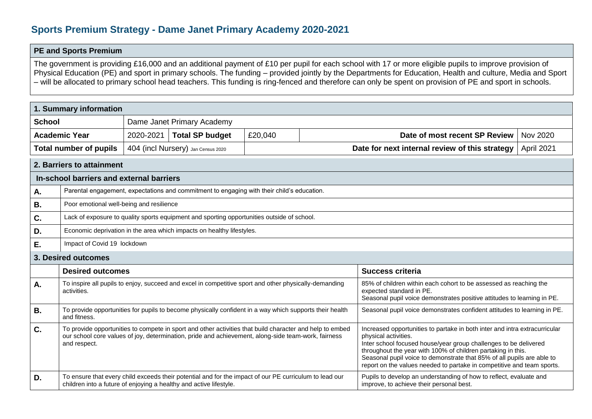## **Sports Premium Strategy - Dame Janet Primary Academy 2020-2021**

## **PE and Sports Premium**

The government is providing £16,000 and an additional payment of £10 per pupil for each school with 17 or more eligible pupils to improve provision of Physical Education (PE) and sport in primary schools. The funding – provided jointly by the Departments for Education, Health and culture, Media and Sport – will be allocated to primary school head teachers. This funding is ring-fenced and therefore can only be spent on provision of PE and sport in schools.

| 1. Summary information                   |                                                                                                                                                                                                                                 |                                                                                                       |                        |         |                                                                                                                                                                          |                                                                                                                                                                                                                                                                                                                                                                                            |                 |  |  |
|------------------------------------------|---------------------------------------------------------------------------------------------------------------------------------------------------------------------------------------------------------------------------------|-------------------------------------------------------------------------------------------------------|------------------------|---------|--------------------------------------------------------------------------------------------------------------------------------------------------------------------------|--------------------------------------------------------------------------------------------------------------------------------------------------------------------------------------------------------------------------------------------------------------------------------------------------------------------------------------------------------------------------------------------|-----------------|--|--|
| <b>School</b>                            |                                                                                                                                                                                                                                 | Dame Janet Primary Academy                                                                            |                        |         |                                                                                                                                                                          |                                                                                                                                                                                                                                                                                                                                                                                            |                 |  |  |
| <b>Academic Year</b>                     |                                                                                                                                                                                                                                 | 2020-2021                                                                                             | <b>Total SP budget</b> | £20,040 |                                                                                                                                                                          | Date of most recent SP Review                                                                                                                                                                                                                                                                                                                                                              | <b>Nov 2020</b> |  |  |
| <b>Total number of pupils</b>            |                                                                                                                                                                                                                                 | 404 (incl Nursery) Jan Census 2020                                                                    |                        |         | Date for next internal review of this strategy                                                                                                                           |                                                                                                                                                                                                                                                                                                                                                                                            | April 2021      |  |  |
| 2. Barriers to attainment                |                                                                                                                                                                                                                                 |                                                                                                       |                        |         |                                                                                                                                                                          |                                                                                                                                                                                                                                                                                                                                                                                            |                 |  |  |
| In-school barriers and external barriers |                                                                                                                                                                                                                                 |                                                                                                       |                        |         |                                                                                                                                                                          |                                                                                                                                                                                                                                                                                                                                                                                            |                 |  |  |
| А.                                       |                                                                                                                                                                                                                                 | Parental engagement, expectations and commitment to engaging with their child's education.            |                        |         |                                                                                                                                                                          |                                                                                                                                                                                                                                                                                                                                                                                            |                 |  |  |
| <b>B.</b>                                |                                                                                                                                                                                                                                 | Poor emotional well-being and resilience                                                              |                        |         |                                                                                                                                                                          |                                                                                                                                                                                                                                                                                                                                                                                            |                 |  |  |
| C.                                       |                                                                                                                                                                                                                                 | Lack of exposure to quality sports equipment and sporting opportunities outside of school.            |                        |         |                                                                                                                                                                          |                                                                                                                                                                                                                                                                                                                                                                                            |                 |  |  |
| D.                                       |                                                                                                                                                                                                                                 | Economic deprivation in the area which impacts on healthy lifestyles.                                 |                        |         |                                                                                                                                                                          |                                                                                                                                                                                                                                                                                                                                                                                            |                 |  |  |
| Ε.                                       | Impact of Covid 19 lockdown                                                                                                                                                                                                     |                                                                                                       |                        |         |                                                                                                                                                                          |                                                                                                                                                                                                                                                                                                                                                                                            |                 |  |  |
| 3. Desired outcomes                      |                                                                                                                                                                                                                                 |                                                                                                       |                        |         |                                                                                                                                                                          |                                                                                                                                                                                                                                                                                                                                                                                            |                 |  |  |
|                                          | <b>Desired outcomes</b>                                                                                                                                                                                                         |                                                                                                       |                        |         |                                                                                                                                                                          | <b>Success criteria</b>                                                                                                                                                                                                                                                                                                                                                                    |                 |  |  |
| A.                                       | activities.                                                                                                                                                                                                                     | To inspire all pupils to enjoy, succeed and excel in competitive sport and other physically-demanding |                        |         | 85% of children within each cohort to be assessed as reaching the<br>expected standard in PE.<br>Seasonal pupil voice demonstrates positive attitudes to learning in PE. |                                                                                                                                                                                                                                                                                                                                                                                            |                 |  |  |
| <b>B.</b>                                | To provide opportunities for pupils to become physically confident in a way which supports their health<br>and fitness.                                                                                                         |                                                                                                       |                        |         |                                                                                                                                                                          | Seasonal pupil voice demonstrates confident attitudes to learning in PE.                                                                                                                                                                                                                                                                                                                   |                 |  |  |
| C.                                       | To provide opportunities to compete in sport and other activities that build character and help to embed<br>our school core values of joy, determination, pride and achievement, along-side team-work, fairness<br>and respect. |                                                                                                       |                        |         |                                                                                                                                                                          | Increased opportunities to partake in both inter and intra extracurricular<br>physical activities.<br>Inter school focused house/year group challenges to be delivered<br>throughout the year with 100% of children partaking in this.<br>Seasonal pupil voice to demonstrate that 85% of all pupils are able to<br>report on the values needed to partake in competitive and team sports. |                 |  |  |
| D.                                       | To ensure that every child exceeds their potential and for the impact of our PE curriculum to lead our<br>children into a future of enjoying a healthy and active lifestyle.                                                    |                                                                                                       |                        |         |                                                                                                                                                                          | Pupils to develop an understanding of how to reflect, evaluate and<br>improve, to achieve their personal best.                                                                                                                                                                                                                                                                             |                 |  |  |